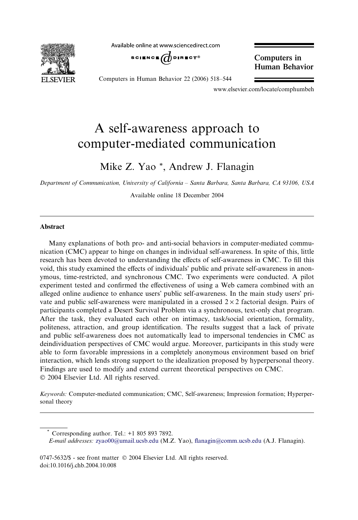**ELSEVIER** 

Available online at www.sciencedirect.com



Computers in Human Behavior

Computers in Human Behavior 22 (2006) 518–544

www.elsevier.com/locate/comphumbeh

# A self-awareness approach to computer-mediated communication

Mike Z. Yao \*, Andrew J. Flanagin

Department of Communication, University of California – Santa Barbara, Santa Barbara, CA 93106, USA

Available online 18 December 2004

#### Abstract

Many explanations of both pro- and anti-social behaviors in computer-mediated communication (CMC) appear to hinge on changes in individual self-awareness. In spite of this, little research has been devoted to understanding the effects of self-awareness in CMC. To fill this void, this study examined the effects of individuals' public and private self-awareness in anonymous, time-restricted, and synchronous CMC. Two experiments were conducted. A pilot experiment tested and confirmed the effectiveness of using a Web camera combined with an alleged online audience to enhance users' public self-awareness. In the main study users' private and public self-awareness were manipulated in a crossed  $2 \times 2$  factorial design. Pairs of participants completed a Desert Survival Problem via a synchronous, text-only chat program. After the task, they evaluated each other on intimacy, task/social orientation, formality, politeness, attraction, and group identification. The results suggest that a lack of private and public self-awareness does not automatically lead to impersonal tendencies in CMC as deindividuation perspectives of CMC would argue. Moreover, participants in this study were able to form favorable impressions in a completely anonymous environment based on brief interaction, which lends strong support to the idealization proposed by hyperpersonal theory. Findings are used to modify and extend current theoretical perspectives on CMC. 2004 Elsevier Ltd. All rights reserved.

Keywords: Computer-mediated communication; CMC, Self-awareness; Impression formation; Hyperpersonal theory

Corresponding author. Tel.:  $+1$  805 893 7892. E-mail addresses: [zyao00@umail.ucsb.edu](mailto:zyao00@umail.ucsb.edu ) (M.Z. Yao), [flanagin@comm.ucsb.edu](mailto:flanagin@comm.ucsb.edu ) (A.J. Flanagin).

0747-5632/\$ - see front matter © 2004 Elsevier Ltd. All rights reserved. doi:10.1016/j.chb.2004.10.008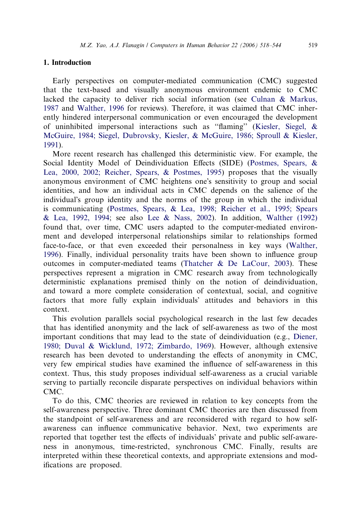# 1. Introduction

Early perspectives on computer-mediated communication (CMC) suggested that the text-based and visually anonymous environment endemic to CMC lacked the capacity to deliver rich social information (see [Culnan & Markus,](#page-24-0) [1987](#page-24-0) and [Walther, 1996](#page-26-0) for reviews). Therefore, it was claimed that CMC inherently hindered interpersonal communication or even encouraged the development of uninhibited impersonal interactions such as ''flaming'' ([Kiesler, Siegel, &](#page-24-0) [McGuire, 1984; Siegel, Dubrovsky, Kiesler, & McGuire, 1986; Sproull & Kiesler,](#page-24-0) [1991\)](#page-24-0).

More recent research has challenged this deterministic view. For example, the Social Identity Model of Deindividuation Effects (SIDE) ([Postmes, Spears, &](#page-25-0) [Lea, 2000, 2002; Reicher, Spears, & Postmes, 1995\)](#page-25-0) proposes that the visually anonymous environment of CMC heightens ones sensitivity to group and social identities, and how an individual acts in CMC depends on the salience of the individual's group identity and the norms of the group in which the individual is communicating ([Postmes, Spears, & Lea, 1998; Reicher et al., 1995; Spears](#page-25-0) [& Lea, 1992, 1994](#page-25-0); see also [Lee & Nass, 2002\)](#page-25-0). In addition, [Walther \(1992\)](#page-26-0) found that, over time, CMC users adapted to the computer-mediated environment and developed interpersonal relationships similar to relationships formed face-to-face, or that even exceeded their personalness in key ways ([Walther,](#page-26-0) [1996\)](#page-26-0). Finally, individual personality traits have been shown to influence group outcomes in computer-mediated teams (Thatcher  $\&$  De LaCour, 2003). These perspectives represent a migration in CMC research away from technologically deterministic explanations premised thinly on the notion of deindividuation, and toward a more complete consideration of contextual, social, and cognitive factors that more fully explain individuals attitudes and behaviors in this context.

This evolution parallels social psychological research in the last few decades that has identified anonymity and the lack of self-awareness as two of the most important conditions that may lead to the state of deindividuation (e.g., [Diener,](#page-24-0) [1980; Duval & Wicklund, 1972; Zimbardo, 1969](#page-24-0)). However, although extensive research has been devoted to understanding the effects of anonymity in CMC, very few empirical studies have examined the influence of self-awareness in this context. Thus, this study proposes individual self-awareness as a crucial variable serving to partially reconcile disparate perspectives on individual behaviors within CMC.

To do this, CMC theories are reviewed in relation to key concepts from the self-awareness perspective. Three dominant CMC theories are then discussed from the standpoint of self-awareness and are reconsidered with regard to how selfawareness can influence communicative behavior. Next, two experiments are reported that together test the effects of individuals' private and public self-awareness in anonymous, time-restricted, synchronous CMC. Finally, results are interpreted within these theoretical contexts, and appropriate extensions and modifications are proposed.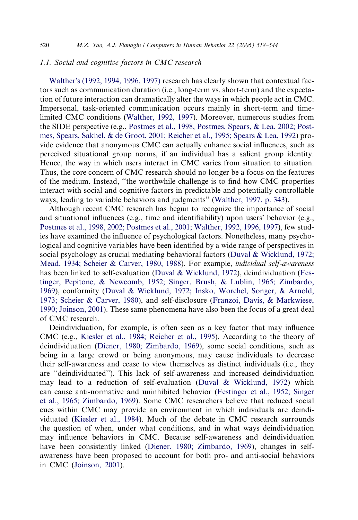## 1.1. Social and cognitive factors in CMC research

Walther'[s \(1992, 1994, 1996, 1997\)](#page-26-0) research has clearly shown that contextual factors such as communication duration (i.e., long-term vs. short-term) and the expectation of future interaction can dramatically alter the ways in which people act in CMC. Impersonal, task-oriented communication occurs mainly in short-term and timelimited CMC conditions [\(Walther, 1992, 1997\)](#page-26-0). Moreover, numerous studies from the SIDE perspective (e.g., [Postmes et al., 1998, Postmes, Spears, & Lea, 2002; Post](#page-25-0)[mes, Spears, Sakhel, & de Groot, 2001; Reicher et al., 1995; Spears & Lea, 1992\)](#page-25-0) provide evidence that anonymous CMC can actually enhance social influences, such as perceived situational group norms, if an individual has a salient group identity. Hence, the way in which users interact in CMC varies from situation to situation. Thus, the core concern of CMC research should no longer be a focus on the features of the medium. Instead, ''the worthwhile challenge is to find how CMC properties interact with social and cognitive factors in predictable and potentially controllable ways, leading to variable behaviors and judgments'' ([Walther, 1997, p. 343\)](#page-26-0).

Although recent CMC research has begun to recognize the importance of social and situational influences (e.g., time and identifiability) upon users' behavior (e.g., [Postmes et al., 1998, 2002; Postmes et al., 2001; Walther, 1992, 1996, 1997\)](#page-25-0), few studies have examined the influence of psychological factors. Nonetheless, many psychological and cognitive variables have been identified by a wide range of perspectives in social psychology as crucial mediating behavioral factors [\(Duval & Wicklund, 1972;](#page-24-0) [Mead, 1934; Scheier & Carver, 1980, 1988\)](#page-24-0). For example, individual self-awareness has been linked to self-evaluation [\(Duval & Wicklund, 1972](#page-24-0)), deindividuation ([Fes](#page-24-0)[tinger, Pepitone, & Newcomb, 1952; Singer, Brush, & Lublin, 1965; Zimbardo,](#page-24-0) [1969](#page-24-0)), conformity [\(Duval & Wicklund, 1972; Insko, Worchel, Songer, & Arnold,](#page-24-0) [1973; Scheier & Carver, 1980](#page-24-0)), and self-disclosure [\(Franzoi, Davis, & Markwiese,](#page-24-0) [1990; Joinson, 2001](#page-24-0)). These same phenomena have also been the focus of a great deal of CMC research.

Deindividuation, for example, is often seen as a key factor that may influence CMC (e.g., [Kiesler et al., 1984; Reicher et al., 1995](#page-24-0)). According to the theory of deindividuation [\(Diener, 1980; Zimbardo, 1969\)](#page-24-0), some social conditions, such as being in a large crowd or being anonymous, may cause individuals to decrease their self-awareness and cease to view themselves as distinct individuals (i.e., they are ''deindividuated''). This lack of self-awareness and increased deindividuation may lead to a reduction of self-evaluation [\(Duval & Wicklund, 1972](#page-24-0)) which can cause anti-normative and uninhibited behavior [\(Festinger et al., 1952; Singer](#page-24-0) [et al., 1965; Zimbardo, 1969\)](#page-24-0). Some CMC researchers believe that reduced social cues within CMC may provide an environment in which individuals are deindividuated [\(Kiesler et al., 1984\)](#page-24-0). Much of the debate in CMC research surrounds the question of when, under what conditions, and in what ways deindividuation may influence behaviors in CMC. Because self-awareness and deindividuation have been consistently linked [\(Diener, 1980; Zimbardo, 1969](#page-24-0)), changes in selfawareness have been proposed to account for both pro- and anti-social behaviors in CMC ([Joinson, 2001](#page-24-0)).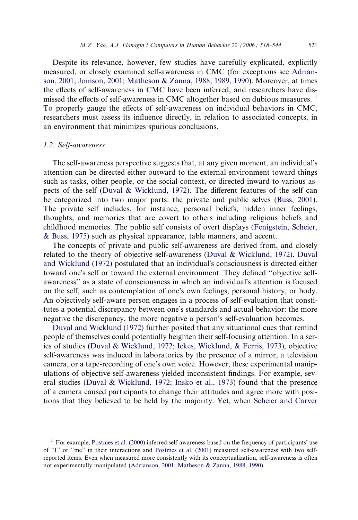Despite its relevance, however, few studies have carefully explicated, explicitly measured, or closely examined self-awareness in CMC (for exceptions see [Adrian](#page-24-0)[son, 2001; Joinson, 2001; Matheson & Zanna, 1988, 1989, 1990\)](#page-24-0). Moreover, at times the effects of self-awareness in CMC have been inferred, and researchers have dismissed the effects of self-awareness in CMC altogether based on dubious measures.  $1$ To properly gauge the effects of self-awareness on individual behaviors in CMC, researchers must assess its influence directly, in relation to associated concepts, in an environment that minimizes spurious conclusions.

# 1.2. Self-awareness

The self-awareness perspective suggests that, at any given moment, an individual's attention can be directed either outward to the external environment toward things such as tasks, other people, or the social context, or directed inward to various aspects of the self ([Duval & Wicklund, 1972\)](#page-24-0). The different features of the self can be categorized into two major parts: the private and public selves [\(Buss, 2001](#page-24-0)). The private self includes, for instance, personal beliefs, hidden inner feelings, thoughts, and memories that are covert to others including religious beliefs and childhood memories. The public self consists of overt displays ([Fenigstein, Scheier,](#page-24-0) [& Buss, 1975\)](#page-24-0) such as physical appearance, table manners, and accent.

The concepts of private and public self-awareness are derived from, and closely related to the theory of objective self-awareness [\(Duval & Wicklund, 1972](#page-24-0)). [Duval](#page-24-0) [and Wicklund \(1972\)](#page-24-0) postulated that an individual's consciousness is directed either toward one's self or toward the external environment. They defined "objective selfawareness" as a state of consciousness in which an individual's attention is focused on the self, such as contemplation of ones own feelings, personal history, or body. An objectively self-aware person engages in a process of self-evaluation that constitutes a potential discrepancy between one's standards and actual behavior: the more negative the discrepancy, the more negative a person's self-evaluation becomes.

[Duval and Wicklund \(1972\)](#page-24-0) further posited that any situational cues that remind people of themselves could potentially heighten their self-focusing attention. In a series of studies [\(Duval & Wicklund, 1972; Ickes, Wicklund, & Ferris, 1973](#page-24-0)), objective self-awareness was induced in laboratories by the presence of a mirror, a television camera, or a tape-recording of one's own voice. However, these experimental manipulations of objective self-awareness yielded inconsistent findings. For example, several studies ([Duval & Wicklund, 1972; Insko et al., 1973](#page-24-0)) found that the presence of a camera caused participants to change their attitudes and agree more with positions that they believed to be held by the majority. Yet, when [Scheier and Carver](#page-25-0)

<sup>&</sup>lt;sup>1</sup> For example, [Postmes et al. \(2000\)](#page-25-0) inferred self-awareness based on the frequency of participants' use of ''I'' or ''me'' in their interactions and [Postmes et al. \(2001\)](#page-25-0) measured self-awareness with two selfreported items. Even when measured more consistently with its conceptualization, self-awareness is often not experimentally manipulated [\(Adrianson, 2001; Matheson & Zanna, 1988, 1990\)](#page-24-0).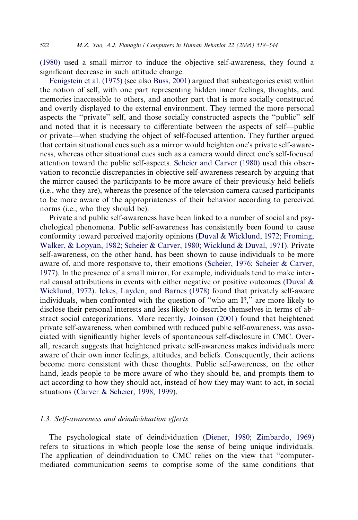[\(1980\)](#page-25-0) used a small mirror to induce the objective self-awareness, they found a significant decrease in such attitude change.

[Fenigstein et al. \(1975\)](#page-24-0) (see also [Buss, 2001\)](#page-24-0) argued that subcategories exist within the notion of self, with one part representing hidden inner feelings, thoughts, and memories inaccessible to others, and another part that is more socially constructed and overtly displayed to the external environment. They termed the more personal aspects the ''private'' self, and those socially constructed aspects the ''public'' self and noted that it is necessary to differentiate between the aspects of self—public or private—when studying the object of self-focused attention. They further argued that certain situational cues such as a mirror would heighten one's private self-awareness, whereas other situational cues such as a camera would direct one's self-focused attention toward the public self-aspects. [Scheier and Carver \(1980\)](#page-25-0) used this observation to reconcile discrepancies in objective self-awareness research by arguing that the mirror caused the participants to be more aware of their previously held beliefs (i.e., who they are), whereas the presence of the television camera caused participants to be more aware of the appropriateness of their behavior according to perceived norms (i.e., who they should be).

Private and public self-awareness have been linked to a number of social and psychological phenomena. Public self-awareness has consistently been found to cause conformity toward perceived majority opinions [\(Duval & Wicklund, 1972; Froming,](#page-24-0) [Walker, & Lopyan, 1982; Scheier & Carver, 1980; Wicklund & Duval, 1971](#page-24-0)). Private self-awareness, on the other hand, has been shown to cause individuals to be more aware of, and more responsive to, their emotions [\(Scheier, 1976; Scheier & Carver,](#page-25-0) [1977](#page-25-0)). In the presence of a small mirror, for example, individuals tend to make internal causal attributions in events with either negative or positive outcomes (Duval  $\&$ [Wicklund, 1972](#page-24-0)). [Ickes, Layden, and Barnes \(1978\)](#page-24-0) found that privately self-aware individuals, when confronted with the question of ''who am I?,'' are more likely to disclose their personal interests and less likely to describe themselves in terms of abstract social categorizations. More recently, [Joinson \(2001\)](#page-24-0) found that heightened private self-awareness, when combined with reduced public self-awareness, was associated with significantly higher levels of spontaneous self-disclosure in CMC. Overall, research suggests that heightened private self-awareness makes individuals more aware of their own inner feelings, attitudes, and beliefs. Consequently, their actions become more consistent with these thoughts. Public self-awareness, on the other hand, leads people to be more aware of who they should be, and prompts them to act according to how they should act, instead of how they may want to act, in social situations [\(Carver & Scheier, 1998, 1999](#page-24-0)).

## 1.3. Self-awareness and deindividuation effects

The psychological state of deindividuation ([Diener, 1980; Zimbardo, 1969\)](#page-24-0) refers to situations in which people lose the sense of being unique individuals. The application of deindividuation to CMC relies on the view that ''computermediated communication seems to comprise some of the same conditions that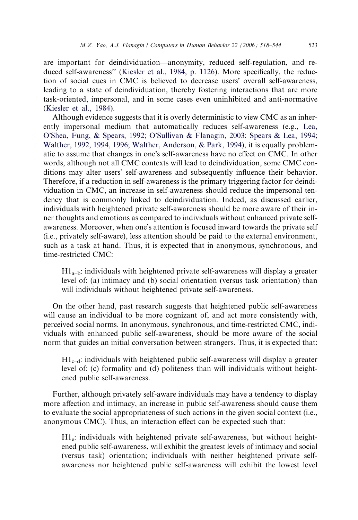are important for deindividuation—anonymity, reduced self-regulation, and reduced self-awareness'' [\(Kiesler et al., 1984, p. 1126\)](#page-24-0). More specifically, the reduction of social cues in CMC is believed to decrease users' overall self-awareness, leading to a state of deindividuation, thereby fostering interactions that are more task-oriented, impersonal, and in some cases even uninhibited and anti-normative [\(Kiesler et al., 1984](#page-24-0)).

Although evidence suggests that it is overly deterministic to view CMC as an inherently impersonal medium that automatically reduces self-awareness (e.g., [Lea,](#page-24-0) OShea, Fung, & Spears, 1992; O[Sullivan & Flanagin, 2003; Spears & Lea, 1994;](#page-24-0) [Walther, 1992, 1994, 1996; Walther, Anderson, & Park, 1994](#page-24-0)), it is equally problematic to assume that changes in one's self-awareness have no effect on CMC. In other words, although not all CMC contexts will lead to deindividuation, some CMC conditions may alter users' self-awareness and subsequently influence their behavior. Therefore, if a reduction in self-awareness is the primary triggering factor for deindividuation in CMC, an increase in self-awareness should reduce the impersonal tendency that is commonly linked to deindividuation. Indeed, as discussed earlier, individuals with heightened private self-awareness should be more aware of their inner thoughts and emotions as compared to individuals without enhanced private selfawareness. Moreover, when one's attention is focused inward towards the private self (i.e., privately self-aware), less attention should be paid to the external environment, such as a task at hand. Thus, it is expected that in anonymous, synchronous, and time-restricted CMC:

 $H1_{a-b}$ : individuals with heightened private self-awareness will display a greater level of: (a) intimacy and (b) social orientation (versus task orientation) than will individuals without heightened private self-awareness.

On the other hand, past research suggests that heightened public self-awareness will cause an individual to be more cognizant of, and act more consistently with, perceived social norms. In anonymous, synchronous, and time-restricted CMC, individuals with enhanced public self-awareness, should be more aware of the social norm that guides an initial conversation between strangers. Thus, it is expected that:

 $H1_{c-d}$ : individuals with heightened public self-awareness will display a greater level of: (c) formality and (d) politeness than will individuals without heightened public self-awareness.

Further, although privately self-aware individuals may have a tendency to display more affection and intimacy, an increase in public self-awareness should cause them to evaluate the social appropriateness of such actions in the given social context (i.e., anonymous CMC). Thus, an interaction effect can be expected such that:

H1e: individuals with heightened private self-awareness, but without heightened public self-awareness, will exhibit the greatest levels of intimacy and social (versus task) orientation; individuals with neither heightened private selfawareness nor heightened public self-awareness will exhibit the lowest level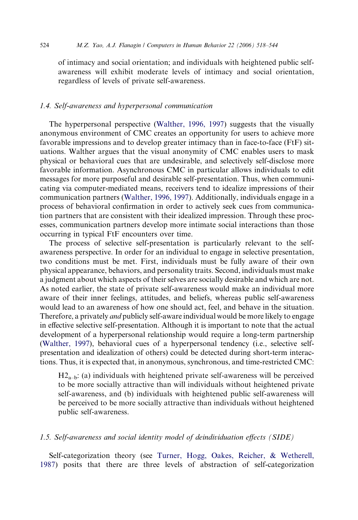of intimacy and social orientation; and individuals with heightened public selfawareness will exhibit moderate levels of intimacy and social orientation, regardless of levels of private self-awareness.

# 1.4. Self-awareness and hyperpersonal communication

The hyperpersonal perspective ([Walther, 1996, 1997\)](#page-26-0) suggests that the visually anonymous environment of CMC creates an opportunity for users to achieve more favorable impressions and to develop greater intimacy than in face-to-face (FtF) situations. Walther argues that the visual anonymity of CMC enables users to mask physical or behavioral cues that are undesirable, and selectively self-disclose more favorable information. Asynchronous CMC in particular allows individuals to edit messages for more purposeful and desirable self-presentation. Thus, when communicating via computer-mediated means, receivers tend to idealize impressions of their communication partners [\(Walther, 1996, 1997\)](#page-26-0). Additionally, individuals engage in a process of behavioral confirmation in order to actively seek cues from communication partners that are consistent with their idealized impression. Through these processes, communication partners develop more intimate social interactions than those occurring in typical FtF encounters over time.

The process of selective self-presentation is particularly relevant to the selfawareness perspective. In order for an individual to engage in selective presentation, two conditions must be met. First, individuals must be fully aware of their own physical appearance, behaviors, and personality traits. Second, individuals must make a judgment about which aspects of their selves are socially desirable and which are not. As noted earlier, the state of private self-awareness would make an individual more aware of their inner feelings, attitudes, and beliefs, whereas public self-awareness would lead to an awareness of how one should act, feel, and behave in the situation. Therefore, a privately and publicly self-aware individual would be more likely to engage in effective selective self-presentation. Although it is important to note that the actual development of a hyperpersonal relationship would require a long-term partnership ([Walther, 1997](#page-26-0)), behavioral cues of a hyperpersonal tendency (i.e., selective selfpresentation and idealization of others) could be detected during short-term interactions. Thus, it is expected that, in anonymous, synchronous, and time-restricted CMC:

 $H2<sub>a-b</sub>$ : (a) individuals with heightened private self-awareness will be perceived to be more socially attractive than will individuals without heightened private self-awareness, and (b) individuals with heightened public self-awareness will be perceived to be more socially attractive than individuals without heightened public self-awareness.

# 1.5. Self-awareness and social identity model of deindividuation effects (SIDE)

Self-categorization theory (see [Turner, Hogg, Oakes, Reicher, & Wetherell,](#page-26-0) [1987](#page-26-0)) posits that there are three levels of abstraction of self-categorization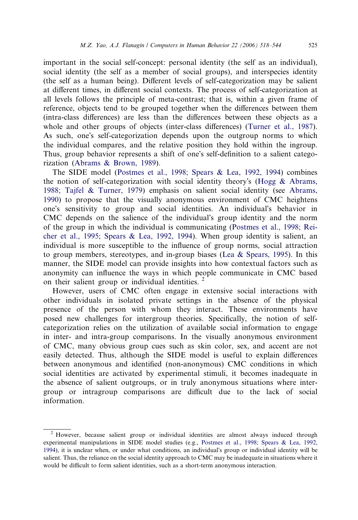important in the social self-concept: personal identity (the self as an individual), social identity (the self as a member of social groups), and interspecies identity (the self as a human being). Different levels of self-categorization may be salient at different times, in different social contexts. The process of self-categorization at all levels follows the principle of meta-contrast; that is, within a given frame of reference, objects tend to be grouped together when the differences between them (intra-class differences) are less than the differences between these objects as a whole and other groups of objects (inter-class differences) [\(Turner et al., 1987](#page-26-0)). As such, one's self-categorization depends upon the outgroup norms to which the individual compares, and the relative position they hold within the ingroup. Thus, group behavior represents a shift of one's self-definition to a salient categorization [\(Abrams & Brown, 1989](#page-24-0)).

The SIDE model [\(Postmes et al., 1998; Spears & Lea, 1992, 1994](#page-25-0)) combines the notion of self-categorization with social identity theorys [\(Hogg & Abrams,](#page-24-0) [1988; Tajfel & Turner, 1979](#page-24-0)) emphasis on salient social identity (see [Abrams,](#page-24-0) [1990\)](#page-24-0) to propose that the visually anonymous environment of CMC heightens one's sensitivity to group and social identities. An individual's behavior in CMC depends on the salience of the individual's group identity and the norm of the group in which the individual is communicating [\(Postmes et al., 1998; Rei](#page-25-0)[cher et al., 1995; Spears & Lea, 1992, 1994\)](#page-25-0). When group identity is salient, an individual is more susceptible to the influence of group norms, social attraction to group members, stereotypes, and in-group biases ([Lea & Spears, 1995\)](#page-24-0). In this manner, the SIDE model can provide insights into how contextual factors such as anonymity can influence the ways in which people communicate in CMC based on their salient group or individual identities. <sup>2</sup>

However, users of CMC often engage in extensive social interactions with other individuals in isolated private settings in the absence of the physical presence of the person with whom they interact. These environments have posed new challenges for intergroup theories. Specifically, the notion of selfcategorization relies on the utilization of available social information to engage in inter- and intra-group comparisons. In the visually anonymous environment of CMC, many obvious group cues such as skin color, sex, and accent are not easily detected. Thus, although the SIDE model is useful to explain differences between anonymous and identified (non-anonymous) CMC conditions in which social identities are activated by experimental stimuli, it becomes inadequate in the absence of salient outgroups, or in truly anonymous situations where intergroup or intragroup comparisons are difficult due to the lack of social information.

<sup>&</sup>lt;sup>2</sup> However, because salient group or individual identities are almost always induced through experimental manipulations in SIDE model studies (e.g., [Postmes et al., 1998; Spears & Lea, 1992,](#page-25-0) [1994\)](#page-25-0), it is unclear when, or under what conditions, an individual's group or individual identity will be salient. Thus, the reliance on the social identity approach to CMC may be inadequate in situations where it would be difficult to form salient identities, such as a short-term anonymous interaction.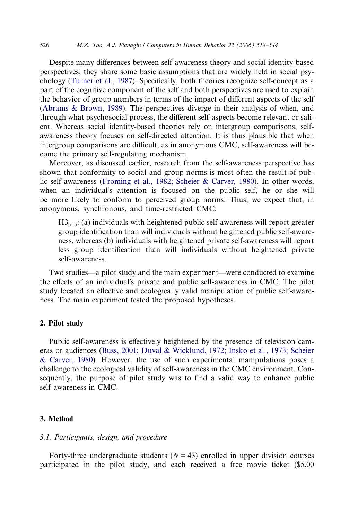Despite many differences between self-awareness theory and social identity-based perspectives, they share some basic assumptions that are widely held in social psychology ([Turner et al., 1987](#page-26-0)). Specifically, both theories recognize self-concept as a part of the cognitive component of the self and both perspectives are used to explain the behavior of group members in terms of the impact of different aspects of the self ([Abrams & Brown, 1989](#page-24-0)). The perspectives diverge in their analysis of when, and through what psychosocial process, the different self-aspects become relevant or salient. Whereas social identity-based theories rely on intergroup comparisons, selfawareness theory focuses on self-directed attention. It is thus plausible that when intergroup comparisons are difficult, as in anonymous CMC, self-awareness will become the primary self-regulating mechanism.

Moreover, as discussed earlier, research from the self-awareness perspective has shown that conformity to social and group norms is most often the result of public self-awareness ([Froming et al., 1982; Scheier & Carver, 1980\)](#page-24-0). In other words, when an individual's attention is focused on the public self, he or she will be more likely to conform to perceived group norms. Thus, we expect that, in anonymous, synchronous, and time-restricted CMC:

 $H3<sub>a-b</sub>$ : (a) individuals with heightened public self-awareness will report greater group identification than will individuals without heightened public self-awareness, whereas (b) individuals with heightened private self-awareness will report less group identification than will individuals without heightened private self-awareness.

Two studies—a pilot study and the main experiment—were conducted to examine the effects of an individual's private and public self-awareness in CMC. The pilot study located an effective and ecologically valid manipulation of public self-awareness. The main experiment tested the proposed hypotheses.

## 2. Pilot study

Public self-awareness is effectively heightened by the presence of television cameras or audiences [\(Buss, 2001; Duval & Wicklund, 1972; Insko et al., 1973; Scheier](#page-24-0) [& Carver, 1980](#page-24-0)). However, the use of such experimental manipulations poses a challenge to the ecological validity of self-awareness in the CMC environment. Consequently, the purpose of pilot study was to find a valid way to enhance public self-awareness in CMC.

# 3. Method

## 3.1. Participants, design, and procedure

Forty-three undergraduate students ( $N = 43$ ) enrolled in upper division courses participated in the pilot study, and each received a free movie ticket (\$5.00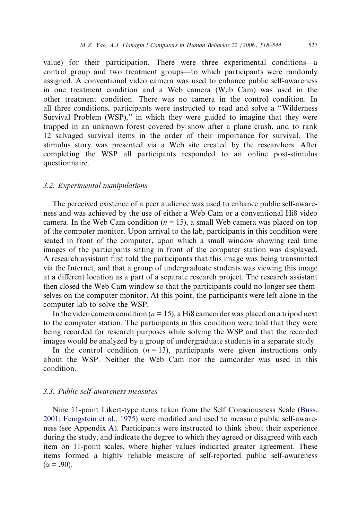value) for their participation. There were three experimental conditions—a control group and two treatment groups—to which participants were randomly assigned. A conventional video camera was used to enhance public self-awareness in one treatment condition and a Web camera (Web Cam) was used in the other treatment condition. There was no camera in the control condition. In all three conditions, participants were instructed to read and solve a ''Wilderness Survival Problem (WSP)," in which they were guided to imagine that they were trapped in an unknown forest covered by snow after a plane crash, and to rank 12 salvaged survival items in the order of their importance for survival. The stimulus story was presented via a Web site created by the researchers. After completing the WSP all participants responded to an online post-stimulus questionnaire.

## 3.2. Experimental manipulations

The perceived existence of a peer audience was used to enhance public self-awareness and was achieved by the use of either a Web Cam or a conventional Hi8 video camera. In the Web Cam condition  $(n = 15)$ , a small Web camera was placed on top of the computer monitor. Upon arrival to the lab, participants in this condition were seated in front of the computer, upon which a small window showing real time images of the participants sitting in front of the computer station was displayed. A research assistant first told the participants that this image was being transmitted via the Internet, and that a group of undergraduate students was viewing this image at a different location as a part of a separate research project. The research assistant then closed the Web Cam window so that the participants could no longer see themselves on the computer monitor. At this point, the participants were left alone in the computer lab to solve the WSP.

In the video camera condition ( $n = 15$ ), a Hi8 camcorder was placed on a tripod next to the computer station. The participants in this condition were told that they were being recorded for research purposes while solving the WSP and that the recorded images would be analyzed by a group of undergraduate students in a separate study.

In the control condition  $(n = 13)$ , participants were given instructions only about the WSP. Neither the Web Cam nor the camcorder was used in this condition.

## 3.3. Public self-awareness measures

Nine 11-point Likert-type items taken from the Self Consciousness Scale ([Buss,](#page-24-0) [2001; Fenigstein et al., 1975](#page-24-0)) were modified and used to measure public self-awareness (see Appendix [A](#page-21-0)). Participants were instructed to think about their experience during the study, and indicate the degree to which they agreed or disagreed with each item on 11-point scales, where higher values indicated greater agreement. These items formed a highly reliable measure of self-reported public self-awareness  $(\alpha = .90)$ .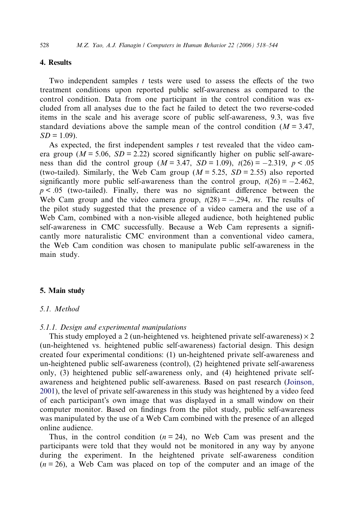# 4. Results

Two independent samples  $t$  tests were used to assess the effects of the two treatment conditions upon reported public self-awareness as compared to the control condition. Data from one participant in the control condition was excluded from all analyses due to the fact he failed to detect the two reverse-coded items in the scale and his average score of public self-awareness, 9.3, was five standard deviations above the sample mean of the control condition  $(M = 3.47)$ ,  $SD = 1.09$ ).

As expected, the first independent samples  $t$  test revealed that the video camera group ( $M = 5.06$ ,  $SD = 2.22$ ) scored significantly higher on public self-awareness than did the control group  $(M = 3.47, SD = 1.09)$ ,  $t(26) = -2.319, p < .05$ (two-tailed). Similarly, the Web Cam group  $(M = 5.25, SD = 2.55)$  also reported significantly more public self-awareness than the control group,  $t(26) = -2.462$ ,  $p < .05$  (two-tailed). Finally, there was no significant difference between the Web Cam group and the video camera group,  $t(28) = -.294$ , ns. The results of the pilot study suggested that the presence of a video camera and the use of a Web Cam, combined with a non-visible alleged audience, both heightened public self-awareness in CMC successfully. Because a Web Cam represents a significantly more naturalistic CMC environment than a conventional video camera, the Web Cam condition was chosen to manipulate public self-awareness in the main study.

## 5. Main study

# 5.1. Method

### 5.1.1. Design and experimental manipulations

This study employed a 2 (un-heightened vs. heightened private self-awareness)  $\times$  2 (un-heightened vs. heightened public self-awareness) factorial design. This design created four experimental conditions: (1) un-heightened private self-awareness and un-heightened public self-awareness (control), (2) heightened private self-awareness only, (3) heightened public self-awareness only, and (4) heightened private selfawareness and heightened public self-awareness. Based on past research [\(Joinson,](#page-24-0) [2001](#page-24-0)), the level of private self-awareness in this study was heightened by a video feed of each participant's own image that was displayed in a small window on their computer monitor. Based on findings from the pilot study, public self-awareness was manipulated by the use of a Web Cam combined with the presence of an alleged online audience.

Thus, in the control condition  $(n = 24)$ , no Web Cam was present and the participants were told that they would not be monitored in any way by anyone during the experiment. In the heightened private self-awareness condition  $(n = 26)$ , a Web Cam was placed on top of the computer and an image of the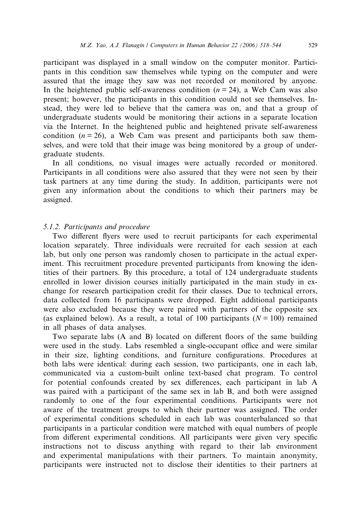participant was displayed in a small window on the computer monitor. Participants in this condition saw themselves while typing on the computer and were assured that the image they saw was not recorded or monitored by anyone. In the heightened public self-awareness condition  $(n = 24)$ , a Web Cam was also present; however, the participants in this condition could not see themselves. Instead, they were led to believe that the camera was on, and that a group of undergraduate students would be monitoring their actions in a separate location via the Internet. In the heightened public and heightened private self-awareness condition  $(n = 26)$ , a Web Cam was present and participants both saw themselves, and were told that their image was being monitored by a group of undergraduate students.

In all conditions, no visual images were actually recorded or monitored. Participants in all conditions were also assured that they were not seen by their task partners at any time during the study. In addition, participants were not given any information about the conditions to which their partners may be assigned.

## 5.1.2. Participants and procedure

Two different flyers were used to recruit participants for each experimental location separately. Three individuals were recruited for each session at each lab, but only one person was randomly chosen to participate in the actual experiment. This recruitment procedure prevented participants from knowing the identities of their partners. By this procedure, a total of 124 undergraduate students enrolled in lower division courses initially participated in the main study in exchange for research participation credit for their classes. Due to technical errors, data collected from 16 participants were dropped. Eight additional participants were also excluded because they were paired with partners of the opposite sex (as explained below). As a result, a total of 100 participants ( $N = 100$ ) remained in all phases of data analyses.

Two separate labs (A and B) located on different floors of the same building were used in the study. Labs resembled a single-occupant office and were similar in their size, lighting conditions, and furniture configurations. Procedures at both labs were identical: during each session, two participants, one in each lab, communicated via a custom-built online text-based chat program. To control for potential confounds created by sex differences, each participant in lab A was paired with a participant of the same sex in lab B, and both were assigned randomly to one of the four experimental conditions. Participants were not aware of the treatment groups to which their partner was assigned. The order of experimental conditions scheduled in each lab was counterbalanced so that participants in a particular condition were matched with equal numbers of people from different experimental conditions. All participants were given very specific instructions not to discuss anything with regard to their lab environment and experimental manipulations with their partners. To maintain anonymity, participants were instructed not to disclose their identities to their partners at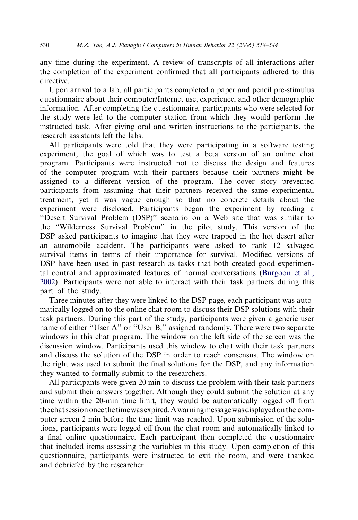any time during the experiment. A review of transcripts of all interactions after the completion of the experiment confirmed that all participants adhered to this directive.

Upon arrival to a lab, all participants completed a paper and pencil pre-stimulus questionnaire about their computer/Internet use, experience, and other demographic information. After completing the questionnaire, participants who were selected for the study were led to the computer station from which they would perform the instructed task. After giving oral and written instructions to the participants, the research assistants left the labs.

All participants were told that they were participating in a software testing experiment, the goal of which was to test a beta version of an online chat program. Participants were instructed not to discuss the design and features of the computer program with their partners because their partners might be assigned to a different version of the program. The cover story prevented participants from assuming that their partners received the same experimental treatment, yet it was vague enough so that no concrete details about the experiment were disclosed. Participants began the experiment by reading a ''Desert Survival Problem (DSP)'' scenario on a Web site that was similar to the ''Wilderness Survival Problem'' in the pilot study. This version of the DSP asked participants to imagine that they were trapped in the hot desert after an automobile accident. The participants were asked to rank 12 salvaged survival items in terms of their importance for survival. Modified versions of DSP have been used in past research as tasks that both created good experimental control and approximated features of normal conversations ([Burgoon et al.,](#page-24-0) [2002](#page-24-0)). Participants were not able to interact with their task partners during this part of the study.

Three minutes after they were linked to the DSP page, each participant was automatically logged on to the online chat room to discuss their DSP solutions with their task partners. During this part of the study, participants were given a generic user name of either "User A" or "User B," assigned randomly. There were two separate windows in this chat program. The window on the left side of the screen was the discussion window. Participants used this window to chat with their task partners and discuss the solution of the DSP in order to reach consensus. The window on the right was used to submit the final solutions for the DSP, and any information they wanted to formally submit to the researchers.

All participants were given 20 min to discuss the problem with their task partners and submit their answers together. Although they could submit the solution at any time within the 20-min time limit, they would be automatically logged off from the chat session once the timewas expired.Awarningmessagewasdisplayed on the computer screen 2 min before the time limit was reached. Upon submission of the solutions, participants were logged off from the chat room and automatically linked to a final online questionnaire. Each participant then completed the questionnaire that included items assessing the variables in this study. Upon completion of this questionnaire, participants were instructed to exit the room, and were thanked and debriefed by the researcher.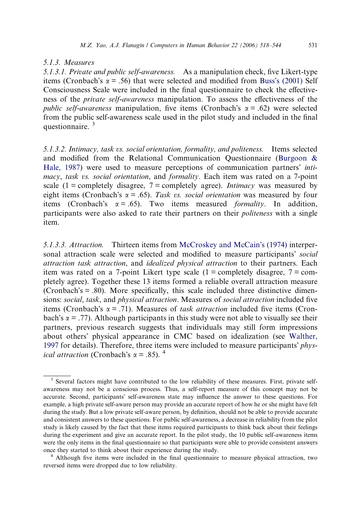# 5.1.3. Measures

5.1.3.1. Private and public self-awareness. As a manipulation check, five Likert-type items (Cronbach's  $\alpha$  = .56) that were selected and modified from Buss'[s \(2001\)](#page-24-0) Self Consciousness Scale were included in the final questionnaire to check the effectiveness of the private self-awareness manipulation. To assess the effectiveness of the public self-awareness manipulation, five items (Cronbach's  $\alpha$  = .62) were selected from the public self-awareness scale used in the pilot study and included in the final questionnaire.<sup>3</sup>

5.1.3.2. Intimacy, task vs. social orientation, formality, and politeness. Items selected and modified from the Relational Communication Questionnaire ([Burgoon &](#page-24-0) [Hale, 1987\)](#page-24-0) were used to measure perceptions of communication partners' *inti*macy, task vs. social orientation, and formality. Each item was rated on a 7-point scale (1 = completely disagree, 7 = completely agree). *Intimacy* was measured by eight items (Cronbach's  $\alpha$  = .65). Task vs. social orientation was measured by four items (Cronbach's  $\alpha = .65$ ). Two items measured *formality*. In addition, participants were also asked to rate their partners on their politeness with a single item.

5.1.3.3. Attraction. Thirteen items from [McCroskey and McCain](#page-25-0)'s (1974) interpersonal attraction scale were selected and modified to measure participants' social attraction task attraction, and idealized physical attraction to their partners. Each item was rated on a 7-point Likert type scale  $(1 = \text{completely disagree}, 7 = \text{com-}$ pletely agree). Together these 13 items formed a reliable overall attraction measure  $(Chobach's = .80)$ . More specifically, this scale included three distinctive dimensions: social, task, and physical attraction. Measures of social attraction included five items (Cronbach's  $\alpha$  = .71). Measures of *task attraction* included five items (Cronbach's  $\alpha$  = .77). Although participants in this study were not able to visually see their partners, previous research suggests that individuals may still form impressions about others' physical appearance in CMC based on idealization (see [Walther,](#page-26-0) [1997](#page-26-0) for details). Therefore, three items were included to measure participants'  $phys$ ical attraction (Cronbach's  $\alpha$  = .85).<sup>4</sup>

<sup>&</sup>lt;sup>3</sup> Several factors might have contributed to the low reliability of these measures. First, private selfawareness may not be a conscious process. Thus, a self-report measure of this concept may not be accurate. Second, participants' self-awareness state may influence the answer to these questions. For example, a high private self-aware person may provide an accurate report of how he or she might have felt during the study. But a low private self-aware person, by definition, should not be able to provide accurate and consistent answers to these questions. For public self-awareness, a decrease in reliability from the pilot study is likely caused by the fact that these items required participants to think back about their feelings during the experiment and give an accurate report. In the pilot study, the 10 public self-awareness items were the only items in the final questionnaire so that participants were able to provide consistent answers once they started to think about their experience during the study.<br><sup>4</sup> Although five items were included in the final questionnaire to measure physical attraction, two

reversed items were dropped due to low reliability.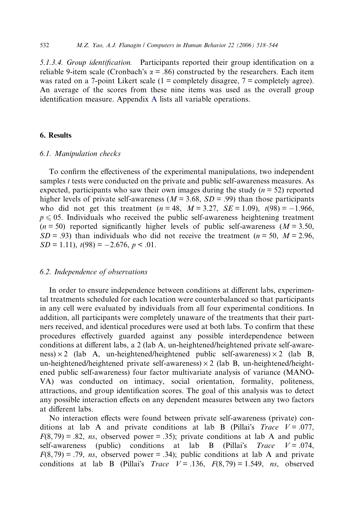5.1.3.4. Group identification. Participants reported their group identification on a reliable 9-item scale (Cronbach's  $\alpha$  = .86) constructed by the researchers. Each item was rated on a 7-point Likert scale  $(1 = \text{completely disagree}, 7 = \text{completely agree}).$ An average of the scores from these nine items was used as the overall group identification measure. Appendix [A](#page-21-0) lists all variable operations.

# 6. Results

### 6.1. Manipulation checks

To confirm the effectiveness of the experimental manipulations, two independent samples t tests were conducted on the private and public self-awareness measures. As expected, participants who saw their own images during the study  $(n = 52)$  reported higher levels of private self-awareness ( $M = 3.68$ ,  $SD = .99$ ) than those participants who did not get this treatment ( $n = 48$ ,  $M = 3.27$ ,  $SE = 1.09$ ),  $t(98) = -1.966$ ,  $p \leq 0.05$ . Individuals who received the public self-awareness heightening treatment  $(n = 50)$  reported significantly higher levels of public self-awareness  $(M = 3.50)$ ,  $SD = .93$ ) than individuals who did not receive the treatment ( $n = 50$ ,  $M = 2.96$ ,  $SD = 1.11$ ,  $t(98) = -2.676$ ,  $p < .01$ .

#### 6.2. Independence of observations

In order to ensure independence between conditions at different labs, experimental treatments scheduled for each location were counterbalanced so that participants in any cell were evaluated by individuals from all four experimental conditions. In addition, all participants were completely unaware of the treatments that their partners received, and identical procedures were used at both labs. To confirm that these procedures effectively guarded against any possible interdependence between conditions at different labs, a 2 (lab A, un-heightened/heightened private self-aware $n$ ess)  $\times$  2 (lab A, un-heightened/heightened public self-awareness)  $\times$  2 (lab B, un-heightened/heightened private self-awareness)  $\times$  2 (lab B, un-heightened/heightened public self-awareness) four factor multivariate analysis of variance (MANO-VA) was conducted on intimacy, social orientation, formality, politeness, attractions, and group identification scores. The goal of this analysis was to detect any possible interaction effects on any dependent measures between any two factors at different labs.

No interaction effects were found between private self-awareness (private) conditions at lab A and private conditions at lab B (Pillai's *Trace V* = .077,  $F(8, 79) = .82$ , ns, observed power = .35); private conditions at lab A and public self-awareness (public) conditions at lab B (Pillai's *Trace*  $V = .074$ ,  $F(8, 79) = .79$ , ns, observed power = .34); public conditions at lab A and private conditions at lab B (Pillai's *Trace V* = .136,  $F(8, 79) = 1.549$ , *ns*, observed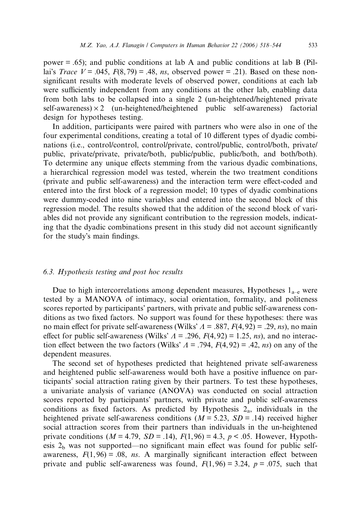power = .65); and public conditions at lab A and public conditions at lab B (Pillai's *Trace*  $V = .045$ ,  $F(8.79) = .48$ , *ns*, observed power = .21). Based on these nonsignificant results with moderate levels of observed power, conditions at each lab were sufficiently independent from any conditions at the other lab, enabling data from both labs to be collapsed into a single 2 (un-heightened/heightened private self-awareness)  $\times$  2 (un-heightened/heightened public self-awareness) factorial design for hypotheses testing.

In addition, participants were paired with partners who were also in one of the four experimental conditions, creating a total of 10 different types of dyadic combinations (i.e., control/control, control/private, control/public, control/both, private/ public, private/private, private/both, public/public, public/both, and both/both). To determine any unique effects stemming from the various dyadic combinations, a hierarchical regression model was tested, wherein the two treatment conditions (private and public self-awareness) and the interaction term were effect-coded and entered into the first block of a regression model; 10 types of dyadic combinations were dummy-coded into nine variables and entered into the second block of this regression model. The results showed that the addition of the second block of variables did not provide any significant contribution to the regression models, indicating that the dyadic combinations present in this study did not account significantly for the study's main findings.

## 6.3. Hypothesis testing and post hoc results

Due to high intercorrelations among dependent measures, Hypotheses  $1_{a-e}$  were tested by a MANOVA of intimacy, social orientation, formality, and politeness scores reported by participants' partners, with private and public self-awareness conditions as two fixed factors. No support was found for these hypotheses: there was no main effect for private self-awareness (Wilks'  $A = .887$ ,  $F(4, 92) = .29$ , ns), no main effect for public self-awareness (Wilks'  $A = .296$ ,  $F(4, 92) = 1.25$ , ns), and no interaction effect between the two factors (Wilks'  $A = .794$ ,  $F(4, 92) = .42$ , ns) on any of the dependent measures.

The second set of hypotheses predicted that heightened private self-awareness and heightened public self-awareness would both have a positive influence on participants' social attraction rating given by their partners. To test these hypotheses, a univariate analysis of variance (ANOVA) was conducted on social attraction scores reported by participants' partners, with private and public self-awareness conditions as fixed factors. As predicted by Hypothesis  $2<sub>a</sub>$ , individuals in the heightened private self-awareness conditions ( $M = 5.23$ ,  $SD = .14$ ) received higher social attraction scores from their partners than individuals in the un-heightened private conditions ( $M = 4.79$ ,  $SD = .14$ ),  $F(1, 96) = 4.3$ ,  $p < .05$ . However, Hypothesis  $2<sub>b</sub>$  was not supported—no significant main effect was found for public selfawareness,  $F(1, 96) = .08$ , *ns.* A marginally significant interaction effect between private and public self-awareness was found,  $F(1, 96) = 3.24$ ,  $p = .075$ , such that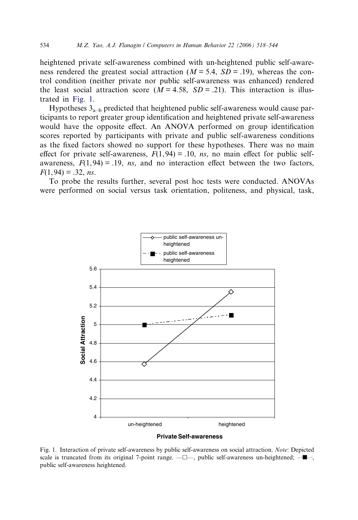heightened private self-awareness combined with un-heightened public self-awareness rendered the greatest social attraction ( $M = 5.4$ ,  $SD = .19$ ), whereas the control condition (neither private nor public self-awareness was enhanced) rendered the least social attraction score ( $M = 4.58$ ,  $SD = .21$ ). This interaction is illustrated in Fig. 1.

Hypotheses  $3_{a-b}$  predicted that heightened public self-awareness would cause participants to report greater group identification and heightened private self-awareness would have the opposite effect. An ANOVA performed on group identification scores reported by participants with private and public self-awareness conditions as the fixed factors showed no support for these hypotheses. There was no main effect for private self-awareness,  $F(1, 94) = .10$ , *ns*, no main effect for public selfawareness,  $F(1, 94) = .19$ , *ns*, and no interaction effect between the two factors,  $F(1, 94) = .32$ , ns.

To probe the results further, several post hoc tests were conducted. ANOVAs were performed on social versus task orientation, politeness, and physical, task,



Fig. 1. Interaction of private self-awareness by public self-awareness on social attraction. Note: Depicted scale is truncated from its original 7-point range.  $-\Box$ , public self-awareness un-heightened;  $-\blacksquare$ -; public self-awareness heightened.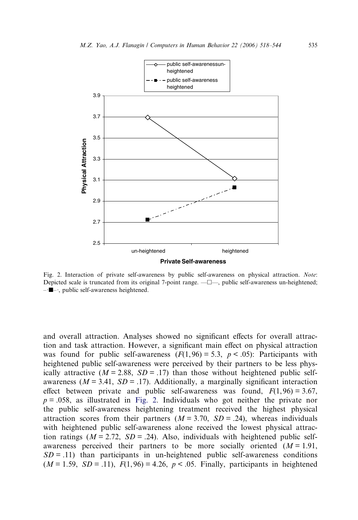

Fig. 2. Interaction of private self-awareness by public self-awareness on physical attraction. Note: Depicted scale is truncated from its original 7-point range.  $-\Box$ , public self-awareness un-heightened; – •■ – •, public self-awareness heightened.

and overall attraction. Analyses showed no significant effects for overall attraction and task attraction. However, a significant main effect on physical attraction was found for public self-awareness  $(F(1, 96) = 5.3, p < .05)$ : Participants with heightened public self-awareness were perceived by their partners to be less physically attractive  $(M = 2.88, SD = .17)$  than those without heightened public selfawareness ( $M = 3.41$ ,  $SD = .17$ ). Additionally, a marginally significant interaction effect between private and public self-awareness was found,  $F(1, 96) = 3.67$ ,  $p = 0.058$ , as illustrated in Fig. 2. Individuals who got neither the private nor the public self-awareness heightening treatment received the highest physical attraction scores from their partners  $(M = 3.70, SD = .24)$ , whereas individuals with heightened public self-awareness alone received the lowest physical attraction ratings ( $M = 2.72$ ,  $SD = .24$ ). Also, individuals with heightened public selfawareness perceived their partners to be more socially oriented  $(M = 1.91$ ,  $SD = .11$ ) than participants in un-heightened public self-awareness conditions  $(M = 1.59, SD = .11), F(1, 96) = 4.26, p < .05.$  Finally, participants in heightened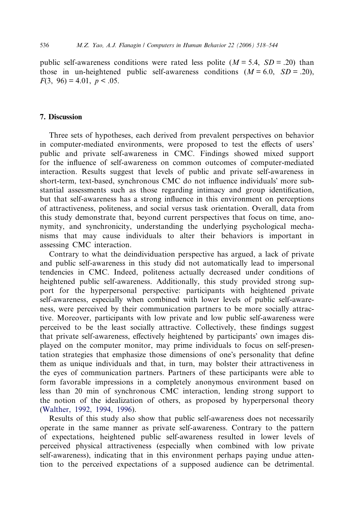public self-awareness conditions were rated less polite  $(M = 5.4, SD = .20)$  than those in un-heightened public self-awareness conditions  $(M = 6.0, SD = .20)$ ,  $F(3, 96) = 4.01, p < .05.$ 

# 7. Discussion

Three sets of hypotheses, each derived from prevalent perspectives on behavior in computer-mediated environments, were proposed to test the effects of users public and private self-awareness in CMC. Findings showed mixed support for the influence of self-awareness on common outcomes of computer-mediated interaction. Results suggest that levels of public and private self-awareness in short-term, text-based, synchronous CMC do not influence individuals' more substantial assessments such as those regarding intimacy and group identification, but that self-awareness has a strong influence in this environment on perceptions of attractiveness, politeness, and social versus task orientation. Overall, data from this study demonstrate that, beyond current perspectives that focus on time, anonymity, and synchronicity, understanding the underlying psychological mechanisms that may cause individuals to alter their behaviors is important in assessing CMC interaction.

Contrary to what the deindividuation perspective has argued, a lack of private and public self-awareness in this study did not automatically lead to impersonal tendencies in CMC. Indeed, politeness actually decreased under conditions of heightened public self-awareness. Additionally, this study provided strong support for the hyperpersonal perspective: participants with heightened private self-awareness, especially when combined with lower levels of public self-awareness, were perceived by their communication partners to be more socially attractive. Moreover, participants with low private and low public self-awareness were perceived to be the least socially attractive. Collectively, these findings suggest that private self-awareness, effectively heightened by participants' own images displayed on the computer monitor, may prime individuals to focus on self-presentation strategies that emphasize those dimensions of ones personality that define them as unique individuals and that, in turn, may bolster their attractiveness in the eyes of communication partners. Partners of these participants were able to form favorable impressions in a completely anonymous environment based on less than 20 min of synchronous CMC interaction, lending strong support to the notion of the idealization of others, as proposed by hyperpersonal theory ([Walther, 1992, 1994, 1996\)](#page-26-0).

Results of this study also show that public self-awareness does not necessarily operate in the same manner as private self-awareness. Contrary to the pattern of expectations, heightened public self-awareness resulted in lower levels of perceived physical attractiveness (especially when combined with low private self-awareness), indicating that in this environment perhaps paying undue attention to the perceived expectations of a supposed audience can be detrimental.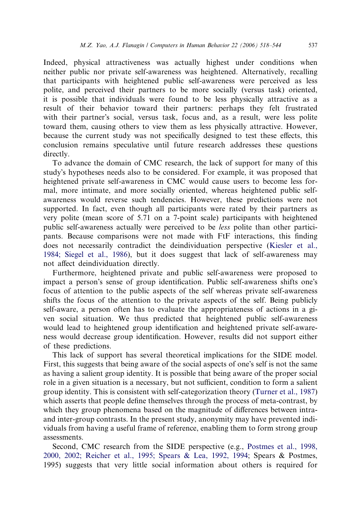Indeed, physical attractiveness was actually highest under conditions when neither public nor private self-awareness was heightened. Alternatively, recalling that participants with heightened public self-awareness were perceived as less polite, and perceived their partners to be more socially (versus task) oriented, it is possible that individuals were found to be less physically attractive as a result of their behavior toward their partners: perhaps they felt frustrated with their partner's social, versus task, focus and, as a result, were less polite toward them, causing others to view them as less physically attractive. However, because the current study was not specifically designed to test these effects, this conclusion remains speculative until future research addresses these questions directly.

To advance the domain of CMC research, the lack of support for many of this studys hypotheses needs also to be considered. For example, it was proposed that heightened private self-awareness in CMC would cause users to become less formal, more intimate, and more socially oriented, whereas heightened public selfawareness would reverse such tendencies. However, these predictions were not supported. In fact, even though all participants were rated by their partners as very polite (mean score of 5.71 on a 7-point scale) participants with heightened public self-awareness actually were perceived to be less polite than other participants. Because comparisons were not made with FtF interactions, this finding does not necessarily contradict the deindividuation perspective [\(Kiesler et al.,](#page-24-0) [1984; Siegel et al., 1986\)](#page-24-0), but it does suggest that lack of self-awareness may not affect deindividuation directly.

Furthermore, heightened private and public self-awareness were proposed to impact a person's sense of group identification. Public self-awareness shifts one's focus of attention to the public aspects of the self whereas private self-awareness shifts the focus of the attention to the private aspects of the self. Being publicly self-aware, a person often has to evaluate the appropriateness of actions in a given social situation. We thus predicted that heightened public self-awareness would lead to heightened group identification and heightened private self-awareness would decrease group identification. However, results did not support either of these predictions.

This lack of support has several theoretical implications for the SIDE model. First, this suggests that being aware of the social aspects of one's self is not the same as having a salient group identity. It is possible that being aware of the proper social role in a given situation is a necessary, but not sufficient, condition to form a salient group identity. This is consistent with self-categorization theory ([Turner et al., 1987](#page-26-0)) which asserts that people define themselves through the process of meta-contrast, by which they group phenomena based on the magnitude of differences between intraand inter-group contrasts. In the present study, anonymity may have prevented individuals from having a useful frame of reference, enabling them to form strong group assessments.

Second, CMC research from the SIDE perspective (e.g., [Postmes et al., 1998,](#page-25-0) [2000, 2002; Reicher et al., 1995; Spears & Lea, 1992, 1994](#page-25-0); Spears & Postmes, 1995) suggests that very little social information about others is required for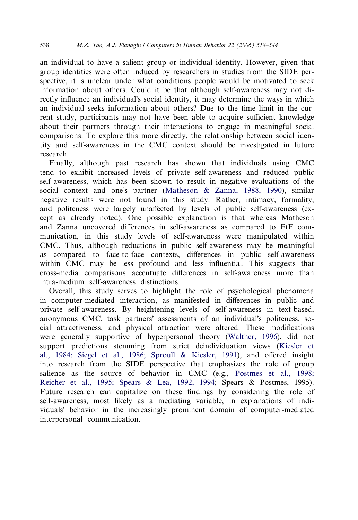an individual to have a salient group or individual identity. However, given that group identities were often induced by researchers in studies from the SIDE perspective, it is unclear under what conditions people would be motivated to seek information about others. Could it be that although self-awareness may not directly influence an individual's social identity, it may determine the ways in which an individual seeks information about others? Due to the time limit in the current study, participants may not have been able to acquire sufficient knowledge about their partners through their interactions to engage in meaningful social comparisons. To explore this more directly, the relationship between social identity and self-awareness in the CMC context should be investigated in future research.

Finally, although past research has shown that individuals using CMC tend to exhibit increased levels of private self-awareness and reduced public self-awareness, which has been shown to result in negative evaluations of the social context and one's partner [\(Matheson & Zanna, 1988, 1990\)](#page-25-0), similar negative results were not found in this study. Rather, intimacy, formality, and politeness were largely unaffected by levels of public self-awareness (except as already noted). One possible explanation is that whereas Matheson and Zanna uncovered differences in self-awareness as compared to FtF communication, in this study levels of self-awareness were manipulated within CMC. Thus, although reductions in public self-awareness may be meaningful as compared to face-to-face contexts, differences in public self-awareness within CMC may be less profound and less influential. This suggests that cross-media comparisons accentuate differences in self-awareness more than intra-medium self-awareness distinctions.

Overall, this study serves to highlight the role of psychological phenomena in computer-mediated interaction, as manifested in differences in public and private self-awareness. By heightening levels of self-awareness in text-based, anonymous CMC, task partners' assessments of an individual's politeness, social attractiveness, and physical attraction were altered. These modifications were generally supportive of hyperpersonal theory [\(Walther, 1996\)](#page-26-0), did not support predictions stemming from strict deindividuation views [\(Kiesler et](#page-24-0) [al., 1984; Siegel et al., 1986; Sproull & Kiesler, 1991](#page-24-0)), and offered insight into research from the SIDE perspective that emphasizes the role of group salience as the source of behavior in CMC (e.g., [Postmes et al., 1998;](#page-25-0) [Reicher et al., 1995; Spears & Lea, 1992, 1994;](#page-25-0) Spears & Postmes, 1995). Future research can capitalize on these findings by considering the role of self-awareness, most likely as a mediating variable, in explanations of individuals' behavior in the increasingly prominent domain of computer-mediated interpersonal communication.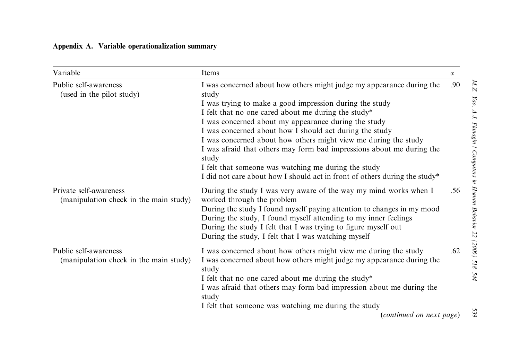<span id="page-21-0"></span>

|  | Appendix A. |  |  | Variable operationalization summary |  |
|--|-------------|--|--|-------------------------------------|--|
|--|-------------|--|--|-------------------------------------|--|

| Variable                                                         | Items                                                                                                                                                                                                                                                                                                                                                                                                                                                                                                                                                                                                          | $\alpha$ |
|------------------------------------------------------------------|----------------------------------------------------------------------------------------------------------------------------------------------------------------------------------------------------------------------------------------------------------------------------------------------------------------------------------------------------------------------------------------------------------------------------------------------------------------------------------------------------------------------------------------------------------------------------------------------------------------|----------|
| Public self-awareness<br>(used in the pilot study)               | I was concerned about how others might judge my appearance during the<br>study<br>I was trying to make a good impression during the study<br>I felt that no one cared about me during the study*<br>I was concerned about my appearance during the study<br>I was concerned about how I should act during the study<br>I was concerned about how others might view me during the study<br>I was afraid that others may form bad impressions about me during the<br>study<br>I felt that someone was watching me during the study<br>I did not care about how I should act in front of others during the study* | .90      |
| Private self-awareness<br>(manipulation check in the main study) | During the study I was very aware of the way my mind works when I<br>worked through the problem<br>During the study I found myself paying attention to changes in my mood<br>During the study, I found myself attending to my inner feelings<br>During the study I felt that I was trying to figure myself out<br>During the study, I felt that I was watching myself                                                                                                                                                                                                                                          | .56      |
| Public self-awareness<br>(manipulation check in the main study)  | I was concerned about how others might view me during the study<br>I was concerned about how others might judge my appearance during the<br>study<br>I felt that no one cared about me during the study*<br>I was afraid that others may form bad impression about me during the<br>study<br>I felt that someone was watching me during the study<br>(continued on next page)                                                                                                                                                                                                                                  | .62      |

539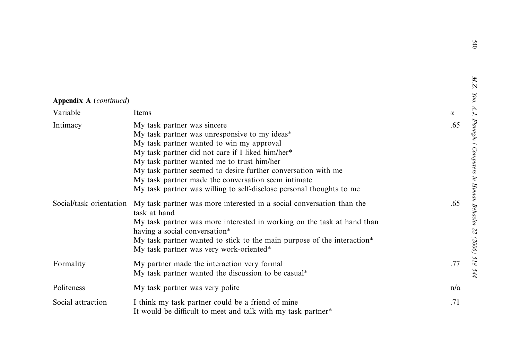|  |  |  | <b>Appendix A</b> ( <i>continued</i> ) |
|--|--|--|----------------------------------------|
|--|--|--|----------------------------------------|

| Variable                | Items                                                                                                                                                                                                                                                                                                                                                                                                                       | $\alpha$ |
|-------------------------|-----------------------------------------------------------------------------------------------------------------------------------------------------------------------------------------------------------------------------------------------------------------------------------------------------------------------------------------------------------------------------------------------------------------------------|----------|
| Intimacy                | My task partner was sincere<br>My task partner was unresponsive to my ideas*<br>My task partner wanted to win my approval<br>My task partner did not care if I liked him/her*<br>My task partner wanted me to trust him/her<br>My task partner seemed to desire further conversation with me<br>My task partner made the conversation seem intimate<br>My task partner was willing to self-disclose personal thoughts to me | .65      |
| Social/task orientation | My task partner was more interested in a social conversation than the<br>task at hand<br>My task partner was more interested in working on the task at hand than<br>having a social conversation*<br>My task partner wanted to stick to the main purpose of the interaction*<br>My task partner was very work-oriented*                                                                                                     | .65      |
| Formality               | My partner made the interaction very formal<br>My task partner wanted the discussion to be casual*                                                                                                                                                                                                                                                                                                                          | .77      |
| Politeness              | My task partner was very polite                                                                                                                                                                                                                                                                                                                                                                                             | n/a      |
| Social attraction       | I think my task partner could be a friend of mine<br>It would be difficult to meet and talk with my task partner*                                                                                                                                                                                                                                                                                                           | .71      |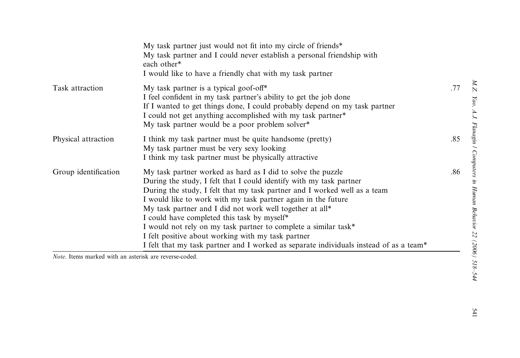|                      | My task partner just would not fit into my circle of friends*<br>My task partner and I could never establish a personal friendship with<br>each other <sup>*</sup><br>I would like to have a friendly chat with my task partner                                                                                                                                                                                                                                                                                                                                                                                |     |  |
|----------------------|----------------------------------------------------------------------------------------------------------------------------------------------------------------------------------------------------------------------------------------------------------------------------------------------------------------------------------------------------------------------------------------------------------------------------------------------------------------------------------------------------------------------------------------------------------------------------------------------------------------|-----|--|
| Task attraction      | My task partner is a typical goof-off*<br>I feel confident in my task partner's ability to get the job done<br>If I wanted to get things done, I could probably depend on my task partner<br>I could not get anything accomplished with my task partner*<br>My task partner would be a poor problem solver*                                                                                                                                                                                                                                                                                                    | .77 |  |
| Physical attraction  | I think my task partner must be quite handsome (pretty)<br>My task partner must be very sexy looking<br>I think my task partner must be physically attractive                                                                                                                                                                                                                                                                                                                                                                                                                                                  | .85 |  |
| Group identification | My task partner worked as hard as I did to solve the puzzle<br>During the study, I felt that I could identify with my task partner<br>During the study, I felt that my task partner and I worked well as a team<br>I would like to work with my task partner again in the future<br>My task partner and I did not work well together at all*<br>I could have completed this task by myself*<br>I would not rely on my task partner to complete a similar task*<br>I felt positive about working with my task partner<br>I felt that my task partner and I worked as separate individuals instead of as a team* | .86 |  |

Note. Items marked with an asterisk are reverse-coded.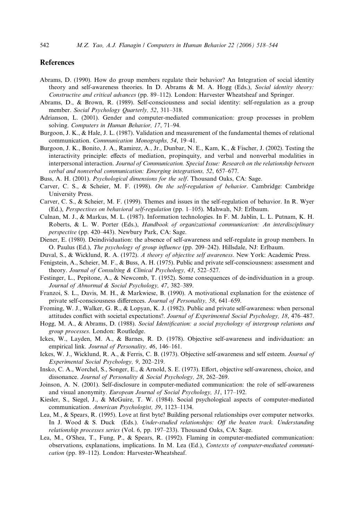### <span id="page-24-0"></span>**References**

- Abrams, D. (1990). How do group members regulate their behavior? An Integration of social identity theory and self-awareness theories. In D. Abrams & M. A. Hogg (Eds.), Social identity theory: Constructive and critical advances (pp. 89–112). London: Harvester Wheatsheaf and Springer.
- Abrams, D., & Brown, R. (1989). Self-consciousness and social identity: self-regulation as a group member. Social Psychology Quarterly, 52, 311-318.
- Adrianson, L. (2001). Gender and computer-mediated communication: group processes in problem solving. Computers in Human Behavior, 17, 71–94.
- Burgoon, J. K., & Hale, J. L. (1987). Validation and measurement of the fundamental themes of relational communication. Communication Monographs, 54, 19–41.
- Burgoon, J. K., Bonito, J. A., Ramirez, A., Jr., Dunbar, N. E., Kam, K., & Fischer, J. (2002). Testing the interactivity principle: effects of mediation, propinquity, and verbal and nonverbal modalities in interpersonal interaction. Journal of Communication. Special Issue: Research on the relationship between verbal and nonverbal communication: Emerging integrations, 52, 657–677.
- Buss, A. H. (2001). Psychological dimensions for the self. Thousand Oaks, CA: Sage.
- Carver, C. S., & Scheier, M. F. (1998). On the self-regulation of behavior. Cambridge: Cambridge University Press.
- Carver, C. S., & Scheier, M. F. (1999). Themes and issues in the self-regulation of behavior. In R. Wyer (Ed.), Perspectives on behavioral self-regulation (pp. 1–105). Mahwah, NJ: Erlbaum.
- Culnan, M. J., & Markus, M. L. (1987). Information technologies. In F. M. Jablin, L. L. Putnam, K. H. Roberts, & L. W. Porter (Eds.), Handbook of organizational communication: An interdisciplinary perspective (pp. 420–443). Newbury Park, CA: Sage.
- Diener, E. (1980). Deindividuation: the absence of self-awareness and self-regulate in group members. In O. Paulus (Ed.), The psychology of group influence (pp. 209–242). Hillsdale, NJ: Erlbaum.
- Duval, S., & Wicklund, R. A. (1972). A theory of objective self awareness. New York: Academic Press.
- Fenigstein, A., Scheier, M. F., & Buss, A. H. (1975). Public and private self-consciousness: assessment and theory. Journal of Consulting & Clinical Psychology, 43, 522–527.
- Festinger, L., Pepitone, A., & Newcomb, T. (1952). Some consequences of de-individuation in a group. Journal of Abnormal & Social Psychology, 47, 382–389.
- Franzoi, S. L., Davis, M. H., & Markwiese, B. (1990). A motivational explanation for the existence of private self-consciousness differences. Journal of Personality, 58, 641–659.
- Froming, W. J., Walker, G. R., & Lopyan, K. J. (1982). Public and private self-awareness: when personal attitudes conflict with societal expectations?. Journal of Experimental Social Psychology, 18, 476–487.
- Hogg, M. A., & Abrams, D. (1988). Social Identification: a social psychology of intergroup relations and group processes. London: Routledge.
- Ickes, W., Layden, M. A., & Barnes, R. D. (1978). Objective self-awareness and individuation: an empirical link. Journal of Personality, 46, 146-161.
- Ickes, W. J., Wicklund, R. A., & Ferris, C. B. (1973). Objective self-awareness and self esteem. Journal of Experimental Social Psychology, 9, 202–219.
- Insko, C. A., Worchel, S., Songer, E., & Arnold, S. E. (1973). Effort, objective self-awareness, choice, and dissonance. Journal of Personality & Social Psychology, 28, 262–269.
- Joinson, A. N. (2001). Self-disclosure in computer-mediated communication: the role of self-awareness and visual anonymity. European Journal of Social Psychology, 31, 177–192.
- Kiesler, S., Siegel, J., & McGuire, T. W. (1984). Social psychological aspects of computer-mediated communication. American Psychologist, 39, 1123–1134.
- Lea, M., & Spears, R. (1995). Love at first byte? Building personal relationships over computer networks. In J. Wood & S. Duck (Eds.). Under-studied relationships: Off the beaten track. Understanding relationship processes series (Vol. 6, pp. 197–233). Thousand Oaks, CA: Sage.
- Lea, M., O'Shea, T., Fung, P., & Spears, R. (1992). Flaming in computer-mediated communication: observations, explanations, implications. In M. Lea (Ed.), Contexts of computer-mediated communication (pp. 89–112). London: Harvester-Wheatsheaf.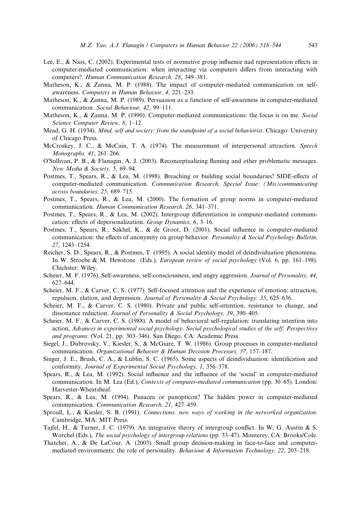- <span id="page-25-0"></span>Lee, E., & Nass, C. (2002). Experimental tests of normative group influence nad representation effects in computer-mediated communication: when interacting via computers differs from interacting with computers?. Human Communication Research, 28, 349–381.
- Matheson, K., & Zanna, M. P. (1988). The impact of computer-mediated communication on selfawareness. Computers in Human Behavior, 4, 221–233.
- Matheson, K., & Zanna, M. P. (1989). Persuasion as a function of self-awareness in computer-mediated communication. Social Behaviour, 42, 99–111.
- Matheson, K., & Zanna, M. P. (1990). Computer-mediated communications: the focus is on me. Social Science Computer Review, 8, 1–12.
- Mead, G. H. (1934). Mind, self and society: from the standpoint of a social behaviorist. Chicago: University of Chicago Press.
- McCroskey, J. C., & McCain, T. A. (1974). The measurement of interpersonal attraction. Speech Monographs, 41, 261–266.
- OSullivan, P. B., & Flanagin, A. J. (2003). Reconceptualizing flaming and other problematic messages. New Media & Society, 5, 69–94.
- Postmes, T., Spears, R., & Lea, M. (1998). Breaching or building social boundaries? SIDE-effects of computer-mediated communication. Communication Research, Special Issue: (Mis)communicating across boundaries, 25, 689–715.
- Postmes, T., Spears, R., & Lea, M. (2000). The formation of group norms in computer-mediated communication. Human Communication Research, 26, 341–371.
- Postmes, T., Spears, R., & Lea, M. (2002). Intergroup differentiation in computer-mediated communication: effects of depersonalization. Group Dynamics, 6, 3–16.
- Postmes, T., Spears, R., Sakhel, K., & de Groot, D. (2001). Social influence in computer-mediated communication: the effects of anonymity on group behavior. Personality  $\&$  Social Psychology Bulletin, 27, 1243–1254.
- Reicher, S. D., Spears, R., & Postmes, T. (1995). A social identity model of deindividuation phenomena. In W. Stroebe & M. Hewstone (Eds.). *European review of social psychology* (Vol. 6, pp. 161–198). Chichster: Wiley.
- Scheier, M. F. (1976). Self-awareness, self-consciousness, and angry aggression. Journal of Personality, 44, 627–644.
- Scheier, M. F., & Carver, C. S. (1977). Self-focused attention and the experience of emotion: attraction, repulsion, elation, and depression. Journal of Personality & Social Psychology, 35, 625–636.
- Scheier, M. F., & Carver, C. S. (1980). Private and public self-attention, resistance to change, and dissonance reduction. Journal of Personality & Social Psychology, 39, 390–405.
- Scheier, M. F., & Carver, C. S. (1988). A model of behavioral self-regulation: translating intention into action, Advances in experimental social psychology. Social psychological studies of the self: Perspectives and programs. (Vol. 21, pp. 303–346). San Diego, CA: Academic Press.
- Siegel, J., Dubrovsky, V., Kiesler, S., & McGuire, T. W. (1986). Group processes in computer-mediated communication. Organizational Behavior & Human Decision Processes, 37, 157–187.
- Singer, J. E., Brush, C. A., & Lublin, S. C. (1965). Some aspects of deindividuation: identification and conformity. Journal of Experimental Social Psychology, 1, 356–378.
- Spears, R., & Lea, M. (1992). Social influence and the influence of the 'social' in computer-mediated communication. In M. Lea (Ed.), *Contexts of computer-mediated communication* (pp. 30–65). London: Harvester-Wheatsheaf.
- Spears, R., & Lea, M. (1994). Panacea or panopticon? The hidden power in computer-mediated communication. Communication Research, 21, 427–459.
- Sproull, L., & Kiesler, S. B. (1991). Connections: new ways of working in the networked organization. Cambridge, MA: MIT Press.
- Tajfel, H., & Turner, J. C. (1979). An integrative theory of intergroup conflict. In W. G. Austin & S. Worchel (Eds.), The social psychology of intergroup relations (pp. 33–47). Monterey, CA: Brooks/Cole.
- Thatcher, A., & De LaCour, A. (2003). Small group decision-making in face-to-face and computermediated environments: the role of personality. Behaviour & Information Technology, 22, 203–218.